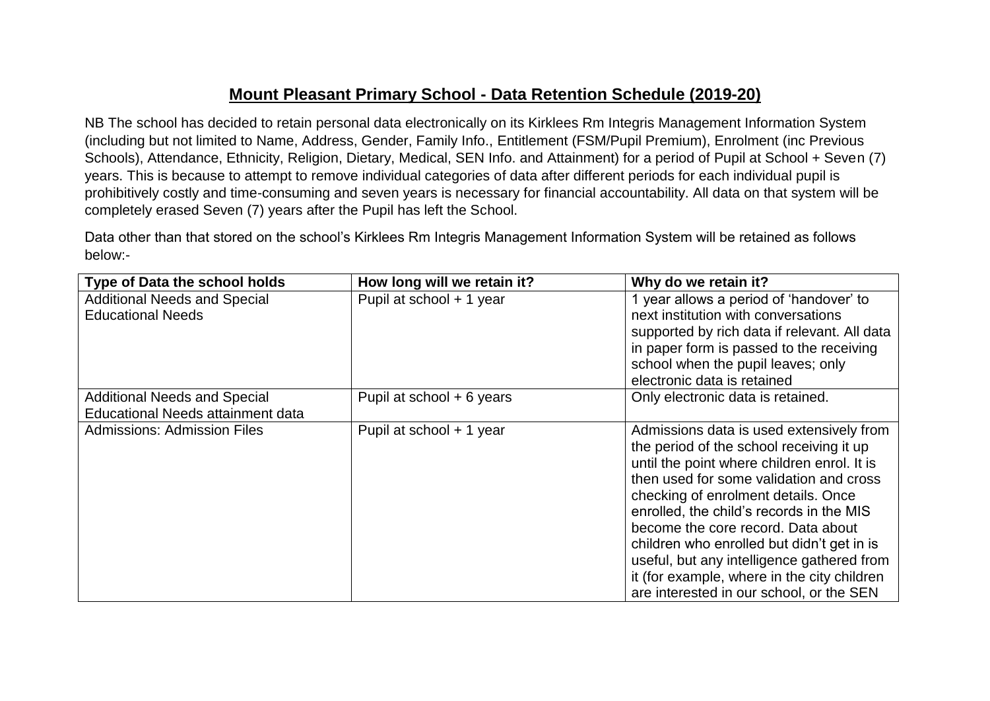## **Mount Pleasant Primary School - Data Retention Schedule (2019-20)**

NB The school has decided to retain personal data electronically on its Kirklees Rm Integris Management Information System (including but not limited to Name, Address, Gender, Family Info., Entitlement (FSM/Pupil Premium), Enrolment (inc Previous Schools), Attendance, Ethnicity, Religion, Dietary, Medical, SEN Info. and Attainment) for a period of Pupil at School + Seven (7) years. This is because to attempt to remove individual categories of data after different periods for each individual pupil is prohibitively costly and time-consuming and seven years is necessary for financial accountability. All data on that system will be completely erased Seven (7) years after the Pupil has left the School.

Data other than that stored on the school's Kirklees Rm Integris Management Information System will be retained as follows below:-

| Type of Data the school holds            | How long will we retain it? | Why do we retain it?                         |
|------------------------------------------|-----------------------------|----------------------------------------------|
| <b>Additional Needs and Special</b>      | Pupil at school + 1 year    | 1 year allows a period of 'handover' to      |
| <b>Educational Needs</b>                 |                             | next institution with conversations          |
|                                          |                             | supported by rich data if relevant. All data |
|                                          |                             | in paper form is passed to the receiving     |
|                                          |                             | school when the pupil leaves; only           |
|                                          |                             | electronic data is retained                  |
| <b>Additional Needs and Special</b>      | Pupil at school + 6 years   | Only electronic data is retained.            |
| <b>Educational Needs attainment data</b> |                             |                                              |
| <b>Admissions: Admission Files</b>       | Pupil at school + 1 year    | Admissions data is used extensively from     |
|                                          |                             | the period of the school receiving it up     |
|                                          |                             | until the point where children enrol. It is  |
|                                          |                             | then used for some validation and cross      |
|                                          |                             | checking of enrolment details. Once          |
|                                          |                             | enrolled, the child's records in the MIS     |
|                                          |                             | become the core record. Data about           |
|                                          |                             | children who enrolled but didn't get in is   |
|                                          |                             | useful, but any intelligence gathered from   |
|                                          |                             | it (for example, where in the city children  |
|                                          |                             | are interested in our school, or the SEN     |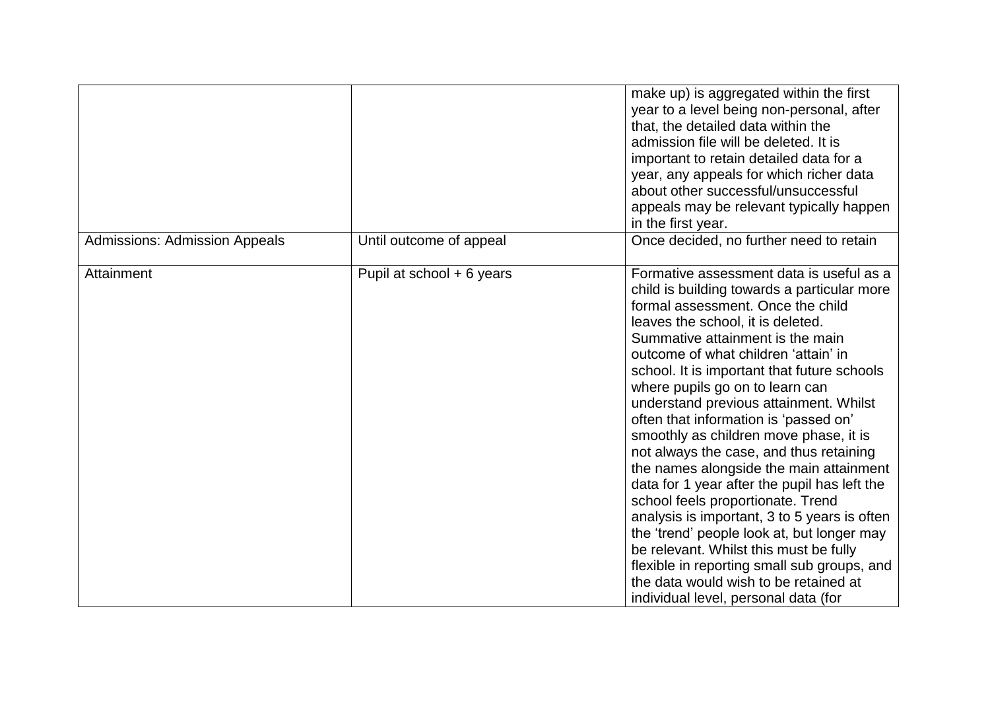|                                      |                           | make up) is aggregated within the first<br>year to a level being non-personal, after<br>that, the detailed data within the<br>admission file will be deleted. It is<br>important to retain detailed data for a<br>year, any appeals for which richer data<br>about other successful/unsuccessful<br>appeals may be relevant typically happen<br>in the first year.                                                                                                                                                                                                                                                                                                                                                                                                                                                                                                                                              |
|--------------------------------------|---------------------------|-----------------------------------------------------------------------------------------------------------------------------------------------------------------------------------------------------------------------------------------------------------------------------------------------------------------------------------------------------------------------------------------------------------------------------------------------------------------------------------------------------------------------------------------------------------------------------------------------------------------------------------------------------------------------------------------------------------------------------------------------------------------------------------------------------------------------------------------------------------------------------------------------------------------|
| <b>Admissions: Admission Appeals</b> | Until outcome of appeal   | Once decided, no further need to retain                                                                                                                                                                                                                                                                                                                                                                                                                                                                                                                                                                                                                                                                                                                                                                                                                                                                         |
| Attainment                           | Pupil at school + 6 years | Formative assessment data is useful as a<br>child is building towards a particular more<br>formal assessment. Once the child<br>leaves the school, it is deleted.<br>Summative attainment is the main<br>outcome of what children 'attain' in<br>school. It is important that future schools<br>where pupils go on to learn can<br>understand previous attainment. Whilst<br>often that information is 'passed on'<br>smoothly as children move phase, it is<br>not always the case, and thus retaining<br>the names alongside the main attainment<br>data for 1 year after the pupil has left the<br>school feels proportionate. Trend<br>analysis is important, 3 to 5 years is often<br>the 'trend' people look at, but longer may<br>be relevant. Whilst this must be fully<br>flexible in reporting small sub groups, and<br>the data would wish to be retained at<br>individual level, personal data (for |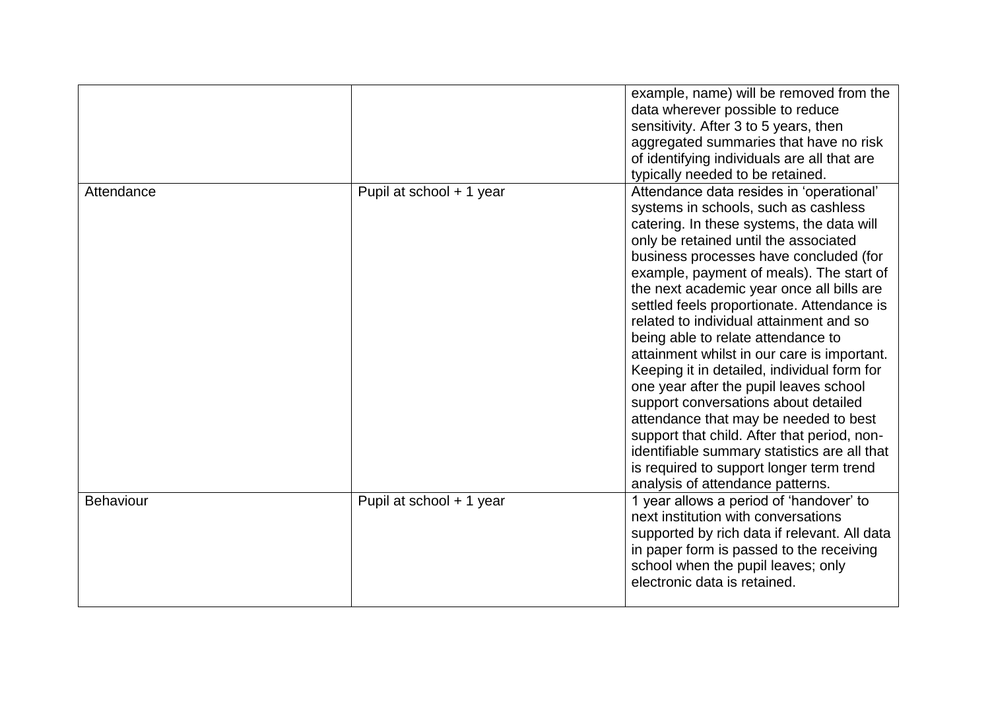|                  |                          | example, name) will be removed from the<br>data wherever possible to reduce<br>sensitivity. After 3 to 5 years, then<br>aggregated summaries that have no risk<br>of identifying individuals are all that are<br>typically needed to be retained.                                                                                                                                                                                                                                                                                                                                                                                                                                                                                                                                                                                                |
|------------------|--------------------------|--------------------------------------------------------------------------------------------------------------------------------------------------------------------------------------------------------------------------------------------------------------------------------------------------------------------------------------------------------------------------------------------------------------------------------------------------------------------------------------------------------------------------------------------------------------------------------------------------------------------------------------------------------------------------------------------------------------------------------------------------------------------------------------------------------------------------------------------------|
| Attendance       | Pupil at school + 1 year | Attendance data resides in 'operational'<br>systems in schools, such as cashless<br>catering. In these systems, the data will<br>only be retained until the associated<br>business processes have concluded (for<br>example, payment of meals). The start of<br>the next academic year once all bills are<br>settled feels proportionate. Attendance is<br>related to individual attainment and so<br>being able to relate attendance to<br>attainment whilst in our care is important.<br>Keeping it in detailed, individual form for<br>one year after the pupil leaves school<br>support conversations about detailed<br>attendance that may be needed to best<br>support that child. After that period, non-<br>identifiable summary statistics are all that<br>is required to support longer term trend<br>analysis of attendance patterns. |
| <b>Behaviour</b> | Pupil at school + 1 year | 1 year allows a period of 'handover' to<br>next institution with conversations<br>supported by rich data if relevant. All data<br>in paper form is passed to the receiving<br>school when the pupil leaves; only<br>electronic data is retained.                                                                                                                                                                                                                                                                                                                                                                                                                                                                                                                                                                                                 |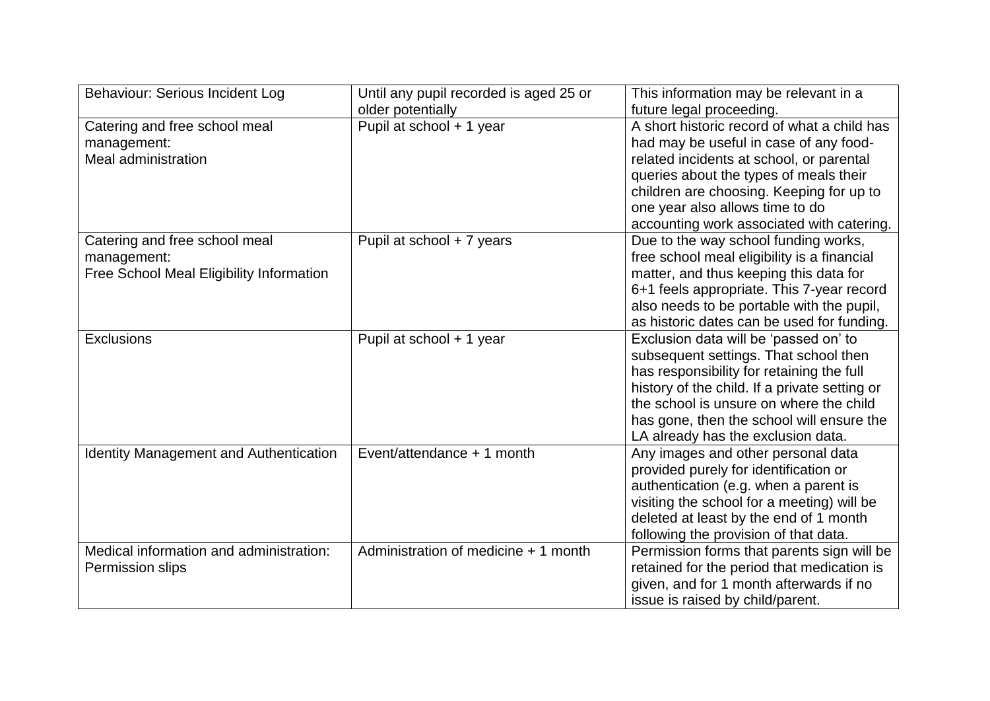| Behaviour: Serious Incident Log                                                          | Until any pupil recorded is aged 25 or | This information may be relevant in a                                                                                                                                                                                                                                                                      |
|------------------------------------------------------------------------------------------|----------------------------------------|------------------------------------------------------------------------------------------------------------------------------------------------------------------------------------------------------------------------------------------------------------------------------------------------------------|
|                                                                                          | older potentially                      | future legal proceeding.                                                                                                                                                                                                                                                                                   |
| Catering and free school meal<br>management:<br>Meal administration                      | Pupil at school + 1 year               | A short historic record of what a child has<br>had may be useful in case of any food-<br>related incidents at school, or parental<br>queries about the types of meals their<br>children are choosing. Keeping for up to<br>one year also allows time to do<br>accounting work associated with catering.    |
| Catering and free school meal<br>management:<br>Free School Meal Eligibility Information | Pupil at school + 7 years              | Due to the way school funding works,<br>free school meal eligibility is a financial<br>matter, and thus keeping this data for<br>6+1 feels appropriate. This 7-year record<br>also needs to be portable with the pupil,<br>as historic dates can be used for funding.                                      |
| Exclusions                                                                               | Pupil at school + 1 year               | Exclusion data will be 'passed on' to<br>subsequent settings. That school then<br>has responsibility for retaining the full<br>history of the child. If a private setting or<br>the school is unsure on where the child<br>has gone, then the school will ensure the<br>LA already has the exclusion data. |
| <b>Identity Management and Authentication</b>                                            | Event/attendance + 1 month             | Any images and other personal data<br>provided purely for identification or<br>authentication (e.g. when a parent is<br>visiting the school for a meeting) will be<br>deleted at least by the end of 1 month<br>following the provision of that data.                                                      |
| Medical information and administration:<br>Permission slips                              | Administration of medicine + 1 month   | Permission forms that parents sign will be<br>retained for the period that medication is<br>given, and for 1 month afterwards if no<br>issue is raised by child/parent.                                                                                                                                    |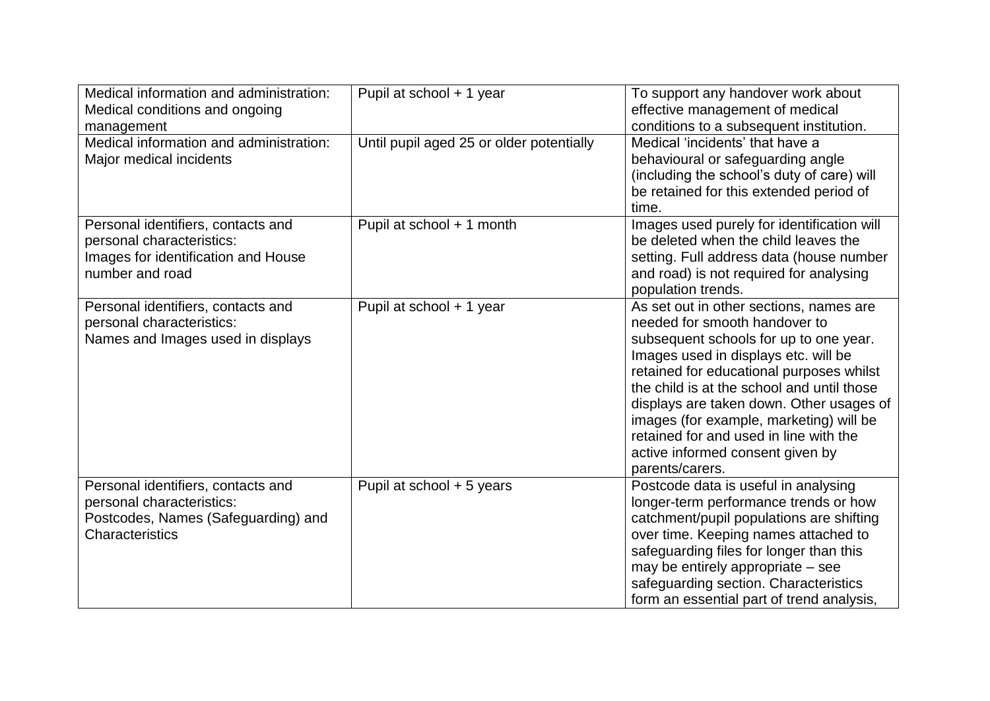| Medical information and administration:<br>Medical conditions and ongoing<br>management                                   | Pupil at school + 1 year                 | To support any handover work about<br>effective management of medical<br>conditions to a subsequent institution.                                                                                                                                                                                                                                                                                                                             |
|---------------------------------------------------------------------------------------------------------------------------|------------------------------------------|----------------------------------------------------------------------------------------------------------------------------------------------------------------------------------------------------------------------------------------------------------------------------------------------------------------------------------------------------------------------------------------------------------------------------------------------|
| Medical information and administration:<br>Major medical incidents                                                        | Until pupil aged 25 or older potentially | Medical 'incidents' that have a<br>behavioural or safeguarding angle<br>(including the school's duty of care) will<br>be retained for this extended period of<br>time.                                                                                                                                                                                                                                                                       |
| Personal identifiers, contacts and<br>personal characteristics:<br>Images for identification and House<br>number and road | Pupil at school + 1 month                | Images used purely for identification will<br>be deleted when the child leaves the<br>setting. Full address data (house number<br>and road) is not required for analysing<br>population trends.                                                                                                                                                                                                                                              |
| Personal identifiers, contacts and<br>personal characteristics:<br>Names and Images used in displays                      | Pupil at school + 1 year                 | As set out in other sections, names are<br>needed for smooth handover to<br>subsequent schools for up to one year.<br>Images used in displays etc. will be<br>retained for educational purposes whilst<br>the child is at the school and until those<br>displays are taken down. Other usages of<br>images (for example, marketing) will be<br>retained for and used in line with the<br>active informed consent given by<br>parents/carers. |
| Personal identifiers, contacts and<br>personal characteristics:<br>Postcodes, Names (Safeguarding) and<br>Characteristics | Pupil at school + 5 years                | Postcode data is useful in analysing<br>longer-term performance trends or how<br>catchment/pupil populations are shifting<br>over time. Keeping names attached to<br>safeguarding files for longer than this<br>may be entirely appropriate – see<br>safeguarding section. Characteristics<br>form an essential part of trend analysis,                                                                                                      |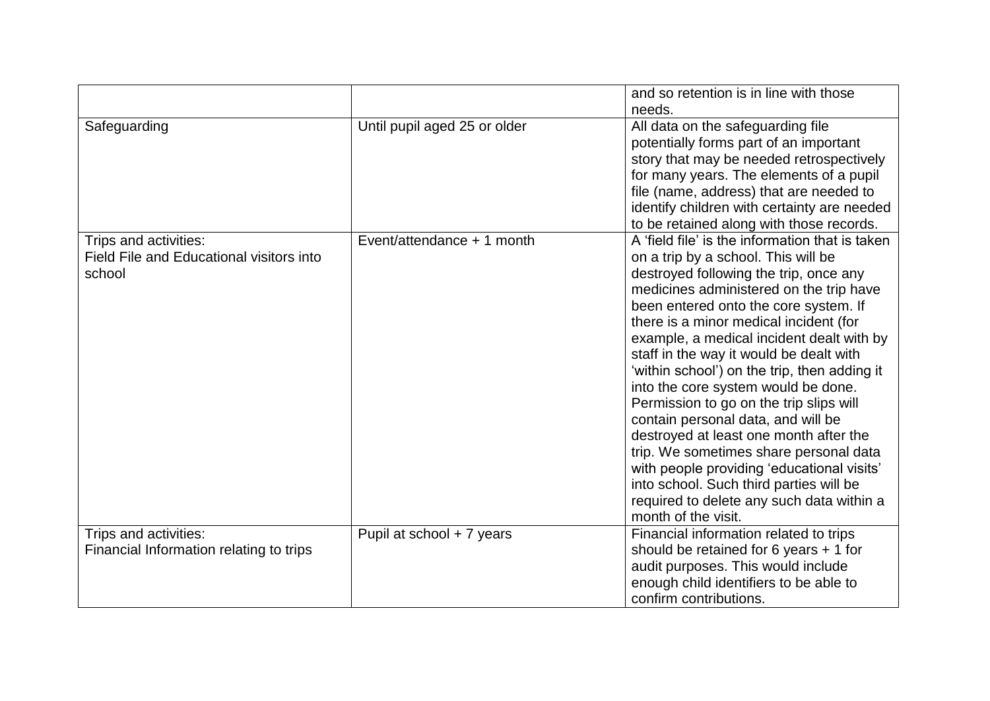|                                                                             |                              | and so retention is in line with those<br>needs.                                                                                                                                                                                                                                                                                                                                                                                                                                                                                                                                                                                                                                                                                                                                |
|-----------------------------------------------------------------------------|------------------------------|---------------------------------------------------------------------------------------------------------------------------------------------------------------------------------------------------------------------------------------------------------------------------------------------------------------------------------------------------------------------------------------------------------------------------------------------------------------------------------------------------------------------------------------------------------------------------------------------------------------------------------------------------------------------------------------------------------------------------------------------------------------------------------|
| Safeguarding                                                                | Until pupil aged 25 or older | All data on the safeguarding file<br>potentially forms part of an important<br>story that may be needed retrospectively<br>for many years. The elements of a pupil<br>file (name, address) that are needed to<br>identify children with certainty are needed<br>to be retained along with those records.                                                                                                                                                                                                                                                                                                                                                                                                                                                                        |
| Trips and activities:<br>Field File and Educational visitors into<br>school | Event/attendance + 1 month   | A 'field file' is the information that is taken<br>on a trip by a school. This will be<br>destroyed following the trip, once any<br>medicines administered on the trip have<br>been entered onto the core system. If<br>there is a minor medical incident (for<br>example, a medical incident dealt with by<br>staff in the way it would be dealt with<br>'within school') on the trip, then adding it<br>into the core system would be done.<br>Permission to go on the trip slips will<br>contain personal data, and will be<br>destroyed at least one month after the<br>trip. We sometimes share personal data<br>with people providing 'educational visits'<br>into school. Such third parties will be<br>required to delete any such data within a<br>month of the visit. |
| Trips and activities:<br>Financial Information relating to trips            | Pupil at school + 7 years    | Financial information related to trips<br>should be retained for 6 years $+1$ for<br>audit purposes. This would include<br>enough child identifiers to be able to<br>confirm contributions.                                                                                                                                                                                                                                                                                                                                                                                                                                                                                                                                                                                     |